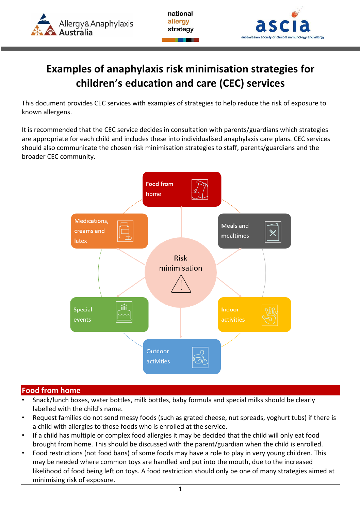

national allergy strategy



# **Examples of anaphylaxis risk minimisation strategies for children's education and care (CEC) services**

This document provides CEC services with examples of strategies to help reduce the risk of exposure to known allergens.

It is recommended that the CEC service decides in consultation with parents/guardians which strategies are appropriate for each child and includes these into individualised anaphylaxis care plans. CEC services should also communicate the chosen risk minimisation strategies to staff, parents/guardians and the broader CEC community.



#### **Food from home**

- Snack/lunch boxes, water bottles, milk bottles, baby formula and special milks should be clearly labelled with the child's name.
- Request families do not send messy foods (such as grated cheese, nut spreads, yoghurt tubs) if there is a child with allergies to those foods who is enrolled at the service.
- If a child has multiple or complex food allergies it may be decided that the child will only eat food brought from home. This should be discussed with the parent/guardian when the child is enrolled.
- Food restrictions (not food bans) of some foods may have a role to play in very young children. This may be needed where common toys are handled and put into the mouth, due to the increased likelihood of food being left on toys. A food restriction should only be one of many strategies aimed at minimising risk of exposure.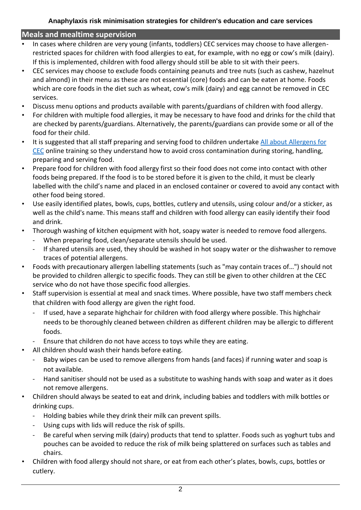#### **Meals and mealtime supervision**

- In cases where children are very young (infants, toddlers) CEC services may choose to have allergenrestricted spaces for children with food allergies to eat, for example, with no egg or cow's milk (dairy). If this is implemented, children with food allergy should still be able to sit with their peers.
- CEC services may choose to exclude foods containing peanuts and tree nuts (such as cashew, hazelnut and almond) in their menu as these are not essential (core) foods and can be eaten at home. Foods which are core foods in the diet such as wheat, cow's milk (dairy) and egg cannot be removed in CEC services.
- Discuss menu options and products available with parents/guardians of children with food allergy.
- For children with multiple food allergies, it may be necessary to have food and drinks for the child that are checked by parents/guardians. Alternatively, the parents/guardians can provide some or all of the food for their child.
- It is suggested that all staff preparing and serving food to children undertake All about Allergens for [CEC](http://www.foodallergytraining.org.au/) online training so they understand how to avoid cross contamination during storing, handling, preparing and serving food.
- Prepare food for children with food allergy first so their food does not come into contact with other foods being prepared. If the food is to be stored before it is given to the child, it must be clearly labelled with the child's name and placed in an enclosed container or covered to avoid any contact with other food being stored.
- Use easily identified plates, bowls, cups, bottles, cutlery and utensils, using colour and/or a sticker, as well as the child's name. This means staff and children with food allergy can easily identify their food and drink.
- Thorough washing of kitchen equipment with hot, soapy water is needed to remove food allergens.
	- When preparing food, clean/separate utensils should be used.
	- If shared utensils are used, they should be washed in hot soapy water or the dishwasher to remove traces of potential allergens.
- Foods with precautionary allergen labelling statements (such as "may contain traces of…") should not be provided to children allergic to specific foods. They can still be given to other children at the CEC service who do not have those specific food allergies.
- Staff supervision is essential at meal and snack times. Where possible, have two staff members check that children with food allergy are given the right food.
	- If used, have a separate highchair for children with food allergy where possible. This highchair needs to be thoroughly cleaned between children as different children may be allergic to different foods.
	- Ensure that children do not have access to toys while they are eating.
- All children should wash their hands before eating.
	- Baby wipes can be used to remove allergens from hands (and faces) if running water and soap is not available.
	- Hand sanitiser should not be used as a substitute to washing hands with soap and water as it does not remove allergens.
- Children should always be seated to eat and drink, including babies and toddlers with milk bottles or drinking cups.
	- Holding babies while they drink their milk can prevent spills.
	- Using cups with lids will reduce the risk of spills.
	- Be careful when serving milk (dairy) products that tend to splatter. Foods such as yoghurt tubs and pouches can be avoided to reduce the risk of milk being splattered on surfaces such as tables and chairs.
- Children with food allergy should not share, or eat from each other's plates, bowls, cups, bottles or cutlery.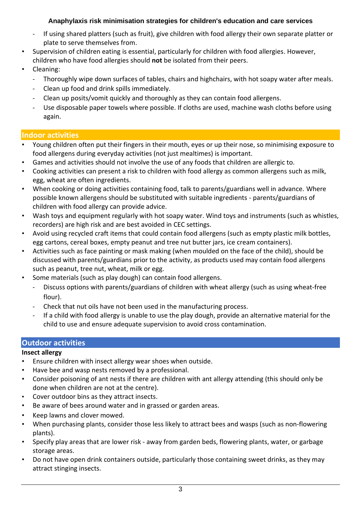- If using shared platters (such as fruit), give children with food allergy their own separate platter or plate to serve themselves from.
- Supervision of children eating is essential, particularly for children with food allergies. However, children who have food allergies should **not** be isolated from their peers.
- Cleaning:
	- Thoroughly wipe down surfaces of tables, chairs and highchairs, with hot soapy water after meals.
	- Clean up food and drink spills immediately.
	- Clean up posits/vomit quickly and thoroughly as they can contain food allergens.
	- Use disposable paper towels where possible. If cloths are used, machine wash cloths before using again.

## **Indoor activities**

- Young children often put their fingers in their mouth, eyes or up their nose, so minimising exposure to food allergens during everyday activities (not just mealtimes) is important.
- Games and activities should not involve the use of any foods that children are allergic to.
- Cooking activities can present a risk to children with food allergy as common allergens such as milk, egg, wheat are often ingredients.
- When cooking or doing activities containing food, talk to parents/guardians well in advance. Where possible known allergens should be substituted with suitable ingredients - parents/guardians of children with food allergy can provide advice.
- Wash toys and equipment regularly with hot soapy water. Wind toys and instruments (such as whistles, recorders) are high risk and are best avoided in CEC settings.
- Avoid using recycled craft items that could contain food allergens (such as empty plastic milk bottles, egg cartons, cereal boxes, empty peanut and tree nut butter jars, ice cream containers).
- Activities such as face painting or mask making (when moulded on the face of the child), should be discussed with parents/guardians prior to the activity, as products used may contain food allergens such as peanut, tree nut, wheat, milk or egg.
- Some materials (such as play dough) can contain food allergens.
	- Discuss options with parents/guardians of children with wheat allergy (such as using wheat-free flour).
	- Check that nut oils have not been used in the manufacturing process.
	- If a child with food allergy is unable to use the play dough, provide an alternative material for the child to use and ensure adequate supervision to avoid cross contamination.

## **Outdoor activities**

## **Insect allergy**

- Ensure children with insect allergy wear shoes when outside.
- Have bee and wasp nests removed by a professional.
- Consider poisoning of ant nests if there are children with ant allergy attending (this should only be done when children are not at the centre).
- Cover outdoor bins as they attract insects.
- Be aware of bees around water and in grassed or garden areas.
- Keep lawns and clover mowed.
- When purchasing plants, consider those less likely to attract bees and wasps (such as non-flowering plants).
- Specify play areas that are lower risk away from garden beds, flowering plants, water, or garbage storage areas.
- Do not have open drink containers outside, particularly those containing sweet drinks, as they may attract stinging insects.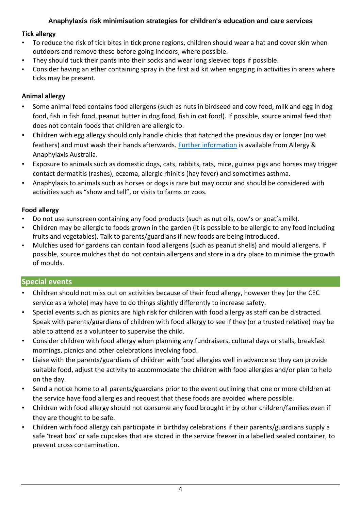#### **Tick allergy**

- To reduce the risk of tick bites in tick prone regions, children should wear a hat and cover skin when outdoors and remove these before going indoors, where possible.
- They should tuck their pants into their socks and wear long sleeved tops if possible.
- Consider having an ether containing spray in the first aid kit when engaging in activities in areas where ticks may be present.

### **Animal allergy**

- Some animal feed contains food allergens (such as nuts in birdseed and cow feed, milk and egg in dog food, fish in fish food, peanut butter in dog food, fish in cat food). If possible, source animal feed that does not contain foods that children are allergic to.
- Children with egg allergy should only handle chicks that hatched the previous day or longer (no wet feathers) and must wash their hands afterwards. [Further information](https://allergyfacts.org.au/resources/help-sheets/chickens-in-the-classroom) is available from Allergy & Anaphylaxis Australia.
- Exposure to animals such as domestic dogs, cats, rabbits, rats, mice, guinea pigs and horses may trigger contact dermatitis (rashes), eczema, allergic rhinitis (hay fever) and sometimes asthma.
- Anaphylaxis to animals such as horses or dogs is rare but may occur and should be considered with activities such as "show and tell", or visits to farms or zoos.

## **Food allergy**

- Do not use sunscreen containing any food products (such as nut oils, cow's or goat's milk).
- Children may be allergic to foods grown in the garden (it is possible to be allergic to any food including fruits and vegetables). Talk to parents/guardians if new foods are being introduced.
- Mulches used for gardens can contain food allergens (such as peanut shells) and mould allergens. If possible, source mulches that do not contain allergens and store in a dry place to minimise the growth of moulds.

## **Special events**

- Children should not miss out on activities because of their food allergy, however they (or the CEC service as a whole) may have to do things slightly differently to increase safety.
- Special events such as picnics are high risk for children with food allergy as staff can be distracted. Speak with parents/guardians of children with food allergy to see if they (or a trusted relative) may be able to attend as a volunteer to supervise the child.
- Consider children with food allergy when planning any fundraisers, cultural days or stalls, breakfast mornings, picnics and other celebrations involving food.
- Liaise with the parents/guardians of children with food allergies well in advance so they can provide suitable food, adjust the activity to accommodate the children with food allergies and/or plan to help on the day.
- Send a notice home to all parents/guardians prior to the event outlining that one or more children at the service have food allergies and request that these foods are avoided where possible.
- Children with food allergy should not consume any food brought in by other children/families even if they are thought to be safe.
- Children with food allergy can participate in birthday celebrations if their parents/guardians supply a safe 'treat box' or safe cupcakes that are stored in the service freezer in a labelled sealed container, to prevent cross contamination.